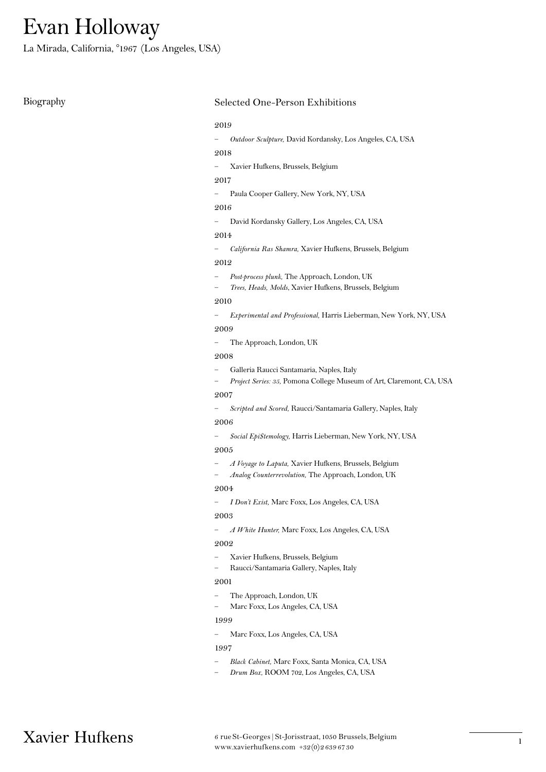La Mirada, California, °1967 (Los Angeles, USA)

# Biography Selected One-Person Exhibitions

#### 2019

— Outdoor Sculpture, David Kordansky, Los Angeles, CA, USA

#### 2018

— Xavier Hufkens, Brussels, Belgium

# 2017

— Paula Cooper Gallery, New York, NY, USA

#### 2016

— David Kordansky Gallery, Los Angeles, CA, USA

# 2014

— California Ras Shamra, Xavier Hufkens, Brussels, Belgium

#### 2012

- Post-process plunk, The Approach, London, UK
- Trees, Heads, Molds, Xavier Hufkens, Brussels, Belgium

#### 2010

— Experimental and Professional, Harris Lieberman, New York, NY, USA

# 2009

— The Approach, London, UK

# 2008

- Galleria Raucci Santamaria, Naples, Italy
- Project Series: 35, Pomona College Museum of Art, Claremont, CA, USA

# 2007

— Scripted and Scored, Raucci/Santamaria Gallery, Naples, Italy

#### 2006

— \$ocial Epi\$temology, Harris Lieberman, New York, NY, USA

#### 2005

- A Voyage to Laputa, Xavier Hufkens, Brussels, Belgium
- Analog Counterrevolution, The Approach, London, UK

#### 2004

— I Don't Exist, Marc Foxx, Los Angeles, CA, USA

#### 2003

— A White Hunter, Marc Foxx, Los Angeles, CA, USA

#### 2002

- Xavier Hufkens, Brussels, Belgium
- Raucci/Santamaria Gallery, Naples, Italy

#### 2001

- The Approach, London, UK
- Marc Foxx, Los Angeles, CA, USA

#### 1999

— Marc Foxx, Los Angeles, CA, USA

#### 1997

- Black Cabinet, Marc Foxx, Santa Monica, CA, USA
- Drum Box, ROOM 702, Los Angeles, CA, USA

Xavier Hufkens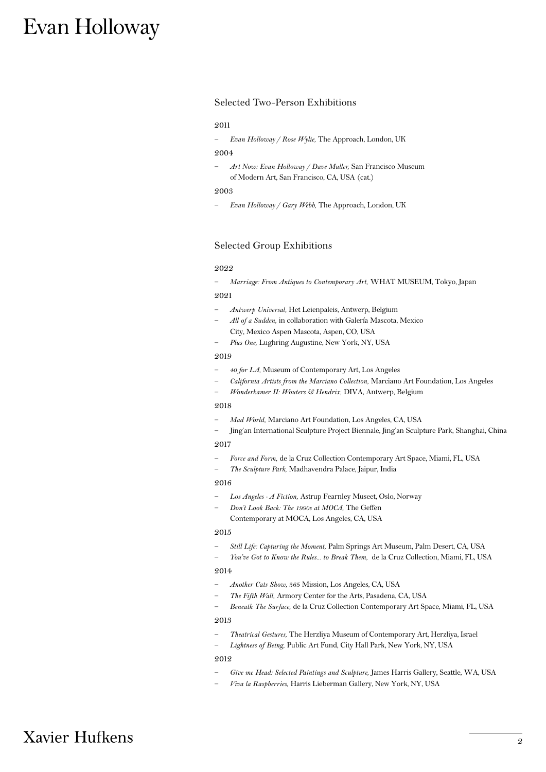#### Selected Two-Person Exhibitions

#### 2011

- Evan Holloway / Rose Wylie, The Approach, London, UK

#### 2004

— Art Now: Evan Holloway / Dave Muller, San Francisco Museum of Modern Art, San Francisco, CA, USA (cat.)

#### 2003

— Evan Holloway / Gary Webb, The Approach, London, UK

# Selected Group Exhibitions

# 2022

- Marriage: From Antiques to Contemporary Art, WHAT MUSEUM, Tokyo, Japan

# 2021

- Antwerp Universal, Het Leienpaleis, Antwerp, Belgium
- All of a Sudden, in collaboration with Galería Mascota, Mexico City, Mexico Aspen Mascota, Aspen, CO, USA
- Plus One, Lughring Augustine, New York, NY, USA

#### 2019

- 40 for LA, Museum of Contemporary Art, Los Angeles
- California Artists from the Marciano Collection, Marciano Art Foundation, Los Angeles
- Wonderkamer II: Wouters & Hendrix, DIVA, Antwerp, Belgium

#### 2018

- Mad World, Marciano Art Foundation, Los Angeles, CA, USA
- Jing'an International Sculpture Project Biennale, Jing'an Sculpture Park, Shanghai, China

### 2017

- Force and Form, de la Cruz Collection Contemporary Art Space, Miami, FL, USA
- The Sculpture Park, Madhavendra Palace, Jaipur, India

#### 2016

- Los Angeles A Fiction, Astrup Fearnley Museet, Oslo, Norway
- Don't Look Back: The 1990s at MOCA, The Geffen

Contemporary at MOCA, Los Angeles, CA, USA

#### 2015

- Still Life: Capturing the Moment, Palm Springs Art Museum, Palm Desert, CA, USA
- You've Got to Know the Rules… to Break Them, de la Cruz Collection, Miami, FL, USA

#### 2014

- Another Cats Show, 365 Mission, Los Angeles, CA, USA
- The Fifth Wall, Armory Center for the Arts, Pasadena, CA, USA
- Beneath The Surface, de la Cruz Collection Contemporary Art Space, Miami, FL, USA

#### 2013

- Theatrical Gestures, The Herzliya Museum of Contemporary Art, Herzliya, Israel
- Lightness of Being, Public Art Fund, City Hall Park, New York, NY, USA

#### 2012

- Give me Head: Selected Paintings and Sculpture, James Harris Gallery, Seattle, WA, USA
- Viva la Raspberries, Harris Lieberman Gallery, New York, NY, USA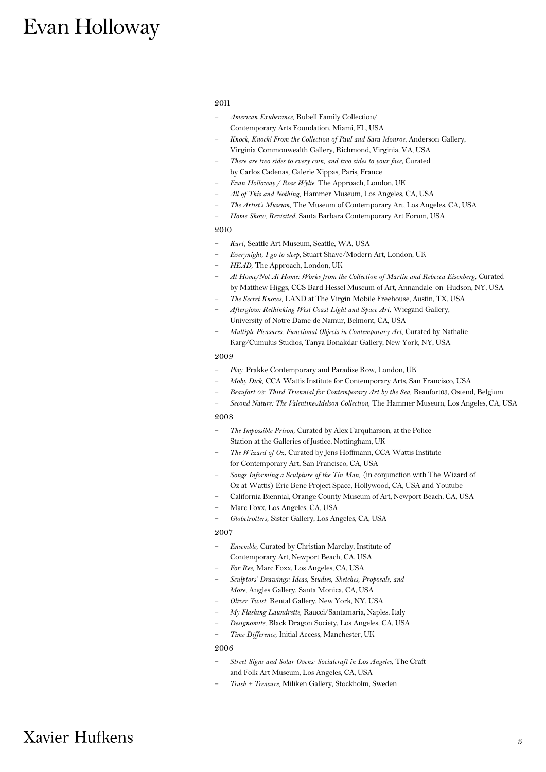#### 2011

- American Exuberance, Rubell Family Collection/ Contemporary Arts Foundation, Miami, FL, USA
- Knock, Knock! From the Collection of Paul and Sara Monroe, Anderson Gallery, Virginia Commonwealth Gallery, Richmond, Virginia, VA, USA
- There are two sides to every coin, and two sides to your face, Curated by Carlos Cadenas, Galerie Xippas, Paris, France
- Evan Holloway / Rose Wylie, The Approach, London, UK
- All of This and Nothing, Hammer Museum, Los Angeles, CA, USA
	- The Artist's Museum, The Museum of Contemporary Art, Los Angeles, CA, USA
	- Home Show, Revisited, Santa Barbara Contemporary Art Forum, USA

### 2010

- Kurt, Seattle Art Museum, Seattle, WA, USA
- Everynight, I go to sleep, Stuart Shave/Modern Art, London, UK
- HEAD, The Approach, London, UK
- At Home/Not At Home: Works from the Collection of Martin and Rebecca Eisenberg, Curated by Matthew Higgs, CCS Bard Hessel Museum of Art, Annandale-on-Hudson, NY, USA
- The Secret Knows, LAND at The Virgin Mobile Freehouse, Austin, TX, USA
- Afterglow: Rethinking West Coast Light and Space Art, Wiegand Gallery, University of Notre Dame de Namur, Belmont, CA, USA
- Multiple Pleasures: Functional Objects in Contemporary Art, Curated by Nathalie Karg/Cumulus Studios, Tanya Bonakdar Gallery, New York, NY, USA

#### 2009

- Play, Prakke Contemporary and Paradise Row, London, UK
- Moby Dick, CCA Wattis Institute for Contemporary Arts, San Francisco, USA
- Beaufort 03: Third Triennial for Contemporary Art by the Sea, Beaufort03, Ostend, Belgium
- Second Nature: The Valentine-Adelson Collection, The Hammer Museum, Los Angeles, CA, USA

#### 2008

- The Impossible Prison, Curated by Alex Farquharson, at the Police Station at the Galleries of Justice, Nottingham, UK
- The Wizard of Oz, Curated by Jens Hoffmann, CCA Wattis Institute for Contemporary Art, San Francisco, CA, USA
- Songs Informing a Sculpture of the Tin Man, (in conjunction with The Wizard of Oz at Wattis) Eric Bene Project Space, Hollywood, CA, USA and Youtube
- California Biennial, Orange County Museum of Art, Newport Beach, CA, USA
- Marc Foxx, Los Angeles, CA, USA
- Globetrotters, Sister Gallery, Los Angeles, CA, USA

#### 2007

- Ensemble, Curated by Christian Marclay, Institute of Contemporary Art, Newport Beach, CA, USA
- For Ree, Marc Foxx, Los Angeles, CA, USA
- Sculptors' Drawings: Ideas, Studies, Sketches, Proposals, and More, Angles Gallery, Santa Monica, CA, USA
- Oliver Twist, Rental Gallery, New York, NY, USA
- My Flashing Laundrette, Raucci/Santamaria, Naples, Italy
- Designomite, Black Dragon Society, Los Angeles, CA, USA
- Time Difference, Initial Access, Manchester, UK

#### 2006

- Street Signs and Solar Ovens: Socialcraft in Los Angeles, The Craft and Folk Art Museum, Los Angeles, CA, USA
- Trash + Treasure, Miliken Gallery, Stockholm, Sweden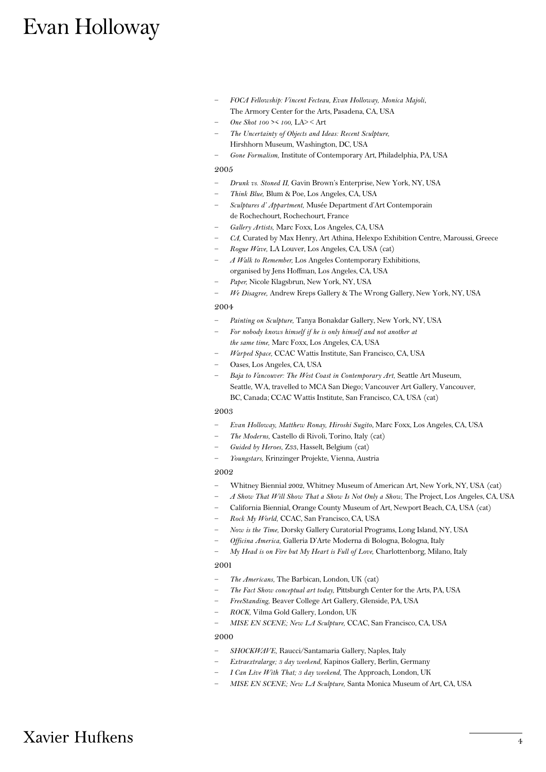- FOCA Fellowship: Vincent Fecteau, Evan Holloway, Monica Majoli, The Armory Center for the Arts, Pasadena, CA, USA
- One Shot 100 >< 100, LA> < Art
- The Uncertainty of Objects and Ideas: Recent Sculpture, Hirshhorn Museum, Washington, DC, USA
- Gone Formalism, Institute of Contemporary Art, Philadelphia, PA, USA

#### 2005

- Drunk vs. Stoned II, Gavin Brown's Enterprise, New York, NY, USA
- Think Blue, Blum & Poe, Los Angeles, CA, USA
- Sculptures d' Appartment, Musée Department d'Art Contemporain de Rochechourt, Rochechourt, France
- Gallery Artists, Marc Foxx, Los Angeles, CA, USA
- CA, Curated by Max Henry, Art Athina, Helexpo Exhibition Centre, Maroussi, Greece
- Rogue Wave, LA Louver, Los Angeles, CA, USA (cat)
- A Walk to Remember, Los Angeles Contemporary Exhibitions, organised by Jens Hoffman, Los Angeles, CA, USA
- Paper, Nicole Klagsbrun, New York, NY, USA
- We Disagree, Andrew Kreps Gallery & The Wrong Gallery, New York, NY, USA

#### 2004

- Painting on Sculpture, Tanya Bonakdar Gallery, New York, NY, USA
- For nobody knows himself if he is only himself and not another at the same time, Marc Foxx, Los Angeles, CA, USA
- Warped Space, CCAC Wattis Institute, San Francisco, CA, USA
- Oases, Los Angeles, CA, USA
- Baja to Vancouver: The West Coast in Contemporary Art, Seattle Art Museum, Seattle, WA, travelled to MCA San Diego; Vancouver Art Gallery, Vancouver, BC, Canada; CCAC Wattis Institute, San Francisco, CA, USA (cat)

#### 2003

- Evan Holloway, Matthew Ronay, Hiroshi Sugito, Marc Foxx, Los Angeles, CA, USA
- The Moderns, Castello di Rivoli, Torino, Italy (cat)
- Guided by Heroes, Z33, Hasselt, Belgium (cat)
- Youngstars, Krinzinger Projekte, Vienna, Austria

#### 2002

- Whitney Biennial 2002, Whitney Museum of American Art, New York, NY, USA (cat)
- A Show That Will Show That a Show Is Not Only a Show, The Project, Los Angeles, CA, USA
	- California Biennial, Orange County Museum of Art, Newport Beach, CA, USA (cat)
- Rock My World, CCAC, San Francisco, CA, USA
- Now is the Time, Dorsky Gallery Curatorial Programs, Long Island, NY, USA
- Officina America, Galleria D'Arte Moderna di Bologna, Bologna, Italy
- My Head is on Fire but My Heart is Full of Love, Charlottenborg, Milano, Italy

### 2001

- The Americans, The Barbican, London, UK (cat)
- The Fact Show conceptual art today, Pittsburgh Center for the Arts, PA, USA
- FreeStanding, Beaver College Art Gallery, Glenside, PA, USA
- ROCK, Vilma Gold Gallery, London, UK
- MISE EN SCENE; New LA Sculpture, CCAC, San Francisco, CA, USA

#### 2000

- SHOCKWAVE, Raucci/Santamaria Gallery, Naples, Italy
- Extraextralarge; 3 day weekend, Kapinos Gallery, Berlin, Germany
- I Can Live With That; 3 day weekend, The Approach, London, UK
- MISE EN SCENE; New LA Sculpture, Santa Monica Museum of Art, CA, USA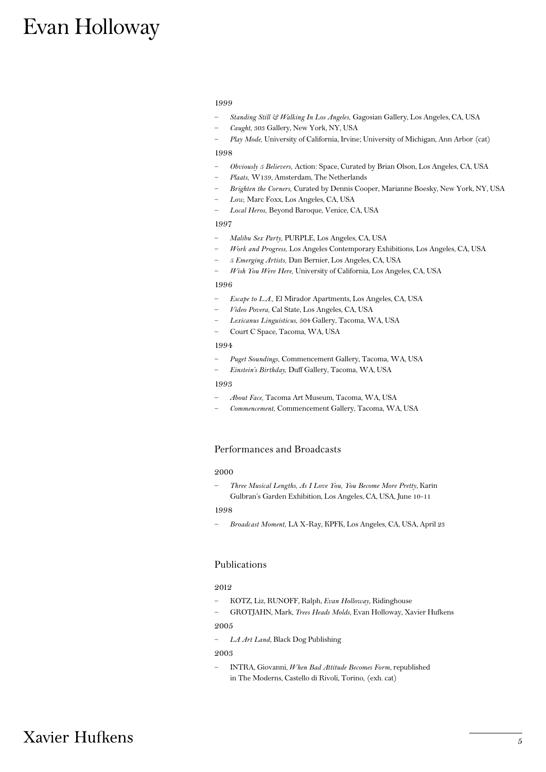#### 1999

- Standing Still & Walking In Los Angeles, Gagosian Gallery, Los Angeles, CA, USA
- Caught, 303 Gallery, New York, NY, USA
- Play Mode, University of California, Irvine; University of Michigan, Ann Arbor (cat)

#### 1998

- Obviously 5 Believers, Action: Space, Curated by Brian Olson, Los Angeles, CA, USA
- Plaats, W139, Amsterdam, The Netherlands
- Brighten the Corners, Curated by Dennis Cooper, Marianne Boesky, New York, NY, USA
- Low, Marc Foxx, Los Angeles, CA, USA
- Local Heros, Beyond Baroque, Venice, CA, USA

#### 1997

- Malibu Sex Party, PURPLE, Los Angeles, CA, USA
- Work and Progress, Los Angeles Contemporary Exhibitions, Los Angeles, CA, USA
- 5 Emerging Artists, Dan Bernier, Los Angeles, CA, USA
- Wish You Were Here, University of California, Los Angeles, CA, USA

#### 1996

- Escape to L.A., El Mirador Apartments, Los Angeles, CA, USA
- Video Povera, Cal State, Los Angeles, CA, USA
- Lexicanus Linguisticus, 504 Gallery, Tacoma, WA, USA
- Court C Space, Tacoma, WA, USA

#### 1994

- Puget Soundings, Commencement Gallery, Tacoma, WA, USA — Einstein's Birthday, Duff Gallery, Tacoma, WA, USA
- 1993
- About Face, Tacoma Art Museum, Tacoma, WA, USA
- Commencement, Commencement Gallery, Tacoma, WA, USA

# Performances and Broadcasts

#### 2000

— Three Musical Lengths, As I Love You, You Become More Pretty, Karin Gulbran's Garden Exhibition, Los Angeles, CA, USA, June 10-11

#### 1998

— Broadcast Moment, LA X-Ray, KPFK, Los Angeles, CA, USA, April 23

#### Publications

### 2012

- KOTZ, Liz, RUNOFF, Ralph, Evan Holloway, Ridinghouse
- GROTJAHN, Mark, Trees Heads Molds, Evan Holloway, Xavier Hufkens 2005
- LA Art Land, Black Dog Publishing

#### 2003

— INTRA, Giovanni, When Bad Attitude Becomes Form, republished in The Moderns, Castello di Rivoli, Torino, (exh. cat)